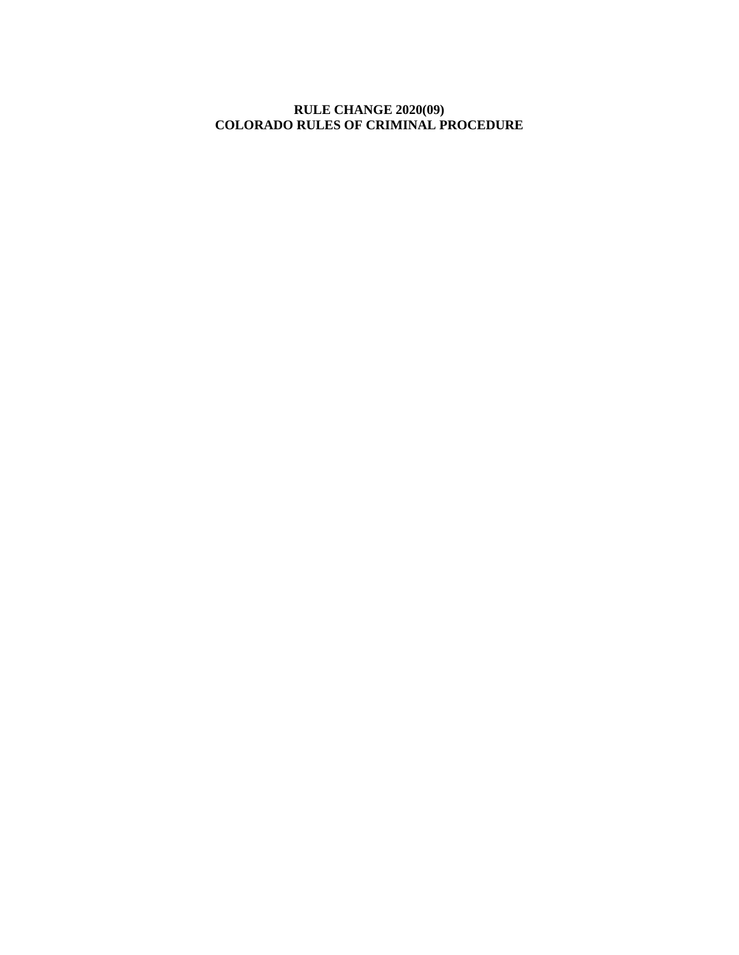# **RULE CHANGE 2020(09) COLORADO RULES OF CRIMINAL PROCEDURE**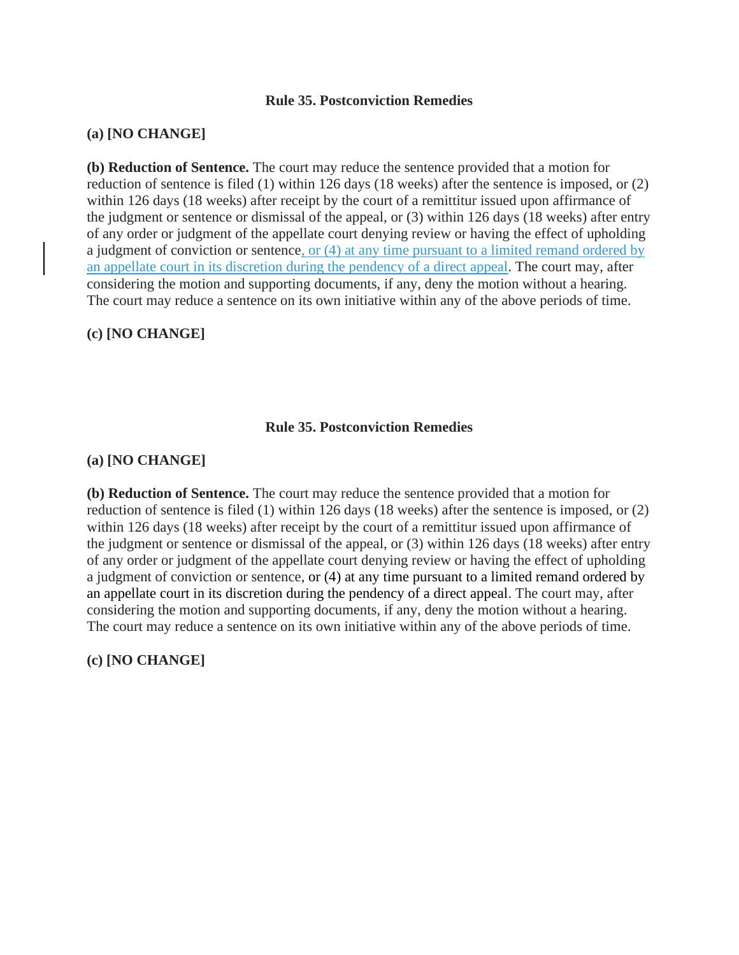#### **Rule 35. Postconviction Remedies**

## **(a) [NO CHANGE]**

**(b) Reduction of Sentence.** The court may reduce the sentence provided that a motion for reduction of sentence is filed (1) within 126 days (18 weeks) after the sentence is imposed, or (2) within 126 days (18 weeks) after receipt by the court of a remittitur issued upon affirmance of the judgment or sentence or dismissal of the appeal, or (3) within 126 days (18 weeks) after entry of any order or judgment of the appellate court denying review or having the effect of upholding a judgment of conviction or sentence, or (4) at any time pursuant to a limited remand ordered by an appellate court in its discretion during the pendency of a direct appeal. The court may, after considering the motion and supporting documents, if any, deny the motion without a hearing. The court may reduce a sentence on its own initiative within any of the above periods of time.

## **(c) [NO CHANGE]**

#### **Rule 35. Postconviction Remedies**

## **(a) [NO CHANGE]**

**(b) Reduction of Sentence.** The court may reduce the sentence provided that a motion for reduction of sentence is filed (1) within 126 days (18 weeks) after the sentence is imposed, or (2) within 126 days (18 weeks) after receipt by the court of a remittitur issued upon affirmance of the judgment or sentence or dismissal of the appeal, or (3) within 126 days (18 weeks) after entry of any order or judgment of the appellate court denying review or having the effect of upholding a judgment of conviction or sentence, or (4) at any time pursuant to a limited remand ordered by an appellate court in its discretion during the pendency of a direct appeal. The court may, after considering the motion and supporting documents, if any, deny the motion without a hearing. The court may reduce a sentence on its own initiative within any of the above periods of time.

## **(c) [NO CHANGE]**